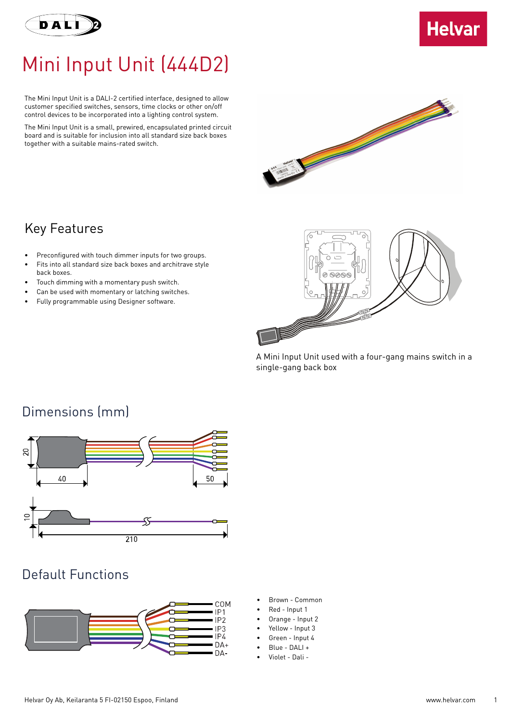



## Mini Input Unit (444D2)

The Mini Input Unit is a DALI-2 certified interface, designed to allow customer specified switches, sensors, time clocks or other on/off control devices to be incorporated into a lighting control system.

The Mini Input Unit is a small, prewired, encapsulated printed circuit board and is suitable for inclusion into all standard size back boxes together with a suitable mains-rated switch.



#### Key Features

- Preconfigured with touch dimmer inputs for two groups.
- Fits into all standard size back boxes and architrave style back boxes.
- Touch dimming with a momentary push switch.
- Can be used with momentary or latching switches.
- Fully programmable using Designer software.



A Mini Input Unit used with a four-gang mains switch in a single-gang back box

# Dimensions (mm)  $40$ 50  $\overline{210}$

#### Default Functions



- Brown Common
- Red Input 1
- Orange Input 2
- Yellow Input 3
- Green Input 4
- Blue DALI +
- Violet Dali -